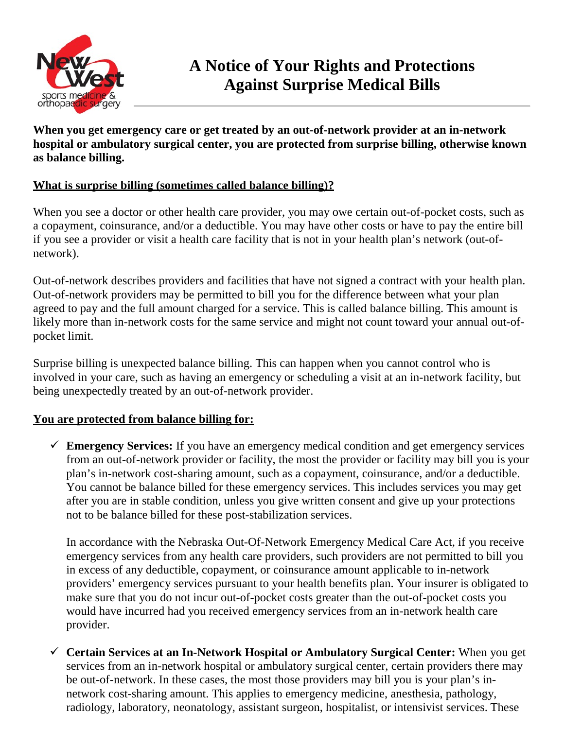

**When you get emergency care or get treated by an out-of-network provider at an in-network hospital or ambulatory surgical center, you are protected from surprise billing, otherwise known as balance billing.**

## **What is surprise billing (sometimes called balance billing)?**

When you see a doctor or other health care provider, you may owe certain out-of-pocket costs, such as a copayment, coinsurance, and/or a deductible. You may have other costs or have to pay the entire bill if you see a provider or visit a health care facility that is not in your health plan's network (out-ofnetwork).

Out-of-network describes providers and facilities that have not signed a contract with your health plan. Out-of-network providers may be permitted to bill you for the difference between what your plan agreed to pay and the full amount charged for a service. This is called balance billing. This amount is likely more than in-network costs for the same service and might not count toward your annual out-ofpocket limit.

Surprise billing is unexpected balance billing. This can happen when you cannot control who is involved in your care, such as having an emergency or scheduling a visit at an in-network facility, but being unexpectedly treated by an out-of-network provider.

# **You are protected from balance billing for:**

 **Emergency Services:** If you have an emergency medical condition and get emergency services from an out-of-network provider or facility, the most the provider or facility may bill you is your plan's in-network cost-sharing amount, such as a copayment, coinsurance, and/or a deductible. You cannot be balance billed for these emergency services. This includes services you may get after you are in stable condition, unless you give written consent and give up your protections not to be balance billed for these post-stabilization services.

In accordance with the Nebraska Out-Of-Network Emergency Medical Care Act, if you receive emergency services from any health care providers, such providers are not permitted to bill you in excess of any deductible, copayment, or coinsurance amount applicable to in-network providers' emergency services pursuant to your health benefits plan. Your insurer is obligated to make sure that you do not incur out-of-pocket costs greater than the out-of-pocket costs you would have incurred had you received emergency services from an in-network health care provider.

 **Certain Services at an In-Network Hospital or Ambulatory Surgical Center:** When you get services from an in-network hospital or ambulatory surgical center, certain providers there may be out-of-network. In these cases, the most those providers may bill you is your plan's innetwork cost-sharing amount. This applies to emergency medicine, anesthesia, pathology, radiology, laboratory, neonatology, assistant surgeon, hospitalist, or intensivist services. These